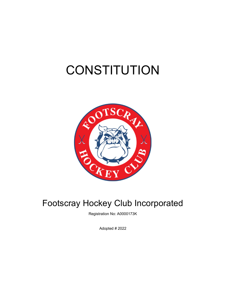# **CONSTITUTION**



# Footscray Hockey Club Incorporated

Registration No: A0000173K

Adopted # 2022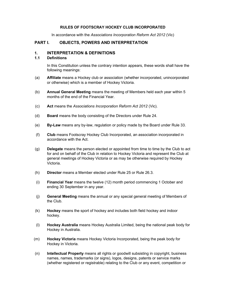# RULES OF FOOTSCRAY HOCKEY CLUB INCORPORATED

In accordance with the Associations Incorporation Reform Act 2012 (Vic)

# PART I. OBJECTS, POWERS AND INTERPRETATION

#### 1. INTERPRETATION & DEFINITIONS

#### 1.1 Definitions

In this Constitution unless the contrary intention appears, these words shall have the following meanings:

- (a) Affiliate means a Hockey club or association (whether incorporated, unincorporated or otherwise) which is a member of Hockey Victoria.
- (b) Annual General Meeting means the meeting of Members held each year within 5 months of the end of the Financial Year.
- (c) Act means the Associations Incorporation Reform Act 2012 (Vic).
- (d) Board means the body consisting of the Directors under Rule 24.
- (e) By-Law means any by-law, regulation or policy made by the Board under Rule 33.
- (f) Club means Footscray Hockey Club Incorporated, an association incorporated in accordance with the Act.
- (g) Delegate means the person elected or appointed from time to time by the Club to act for and on behalf of the Club in relation to Hockey Victoria and represent the Club at general meetings of Hockey Victoria or as may be otherwise required by Hockey Victoria.
- (h) Director means a Member elected under Rule 25 or Rule 26.3.
- (i) Financial Year means the twelve (12) month period commencing 1 October and ending 30 September in any year.
- (j) General Meeting means the annual or any special general meeting of Members of the Club.
- (k) Hockey means the sport of hockey and includes both field hockey and indoor hockey.
- (l) Hockey Australia means Hockey Australia Limited, being the national peak body for Hockey in Australia.
- (m) Hockey Victoria means Hockey Victoria Incorporated, being the peak body for Hockey in Victoria.
- (n) Intellectual Property means all rights or goodwill subsisting in copyright, business names, names, trademarks (or signs), logos, designs, patents or service marks (whether registered or registrable) relating to the Club or any event, competition or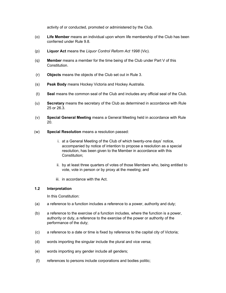activity of or conducted, promoted or administered by the Club.

- (o) Life Member means an individual upon whom life membership of the Club has been conferred under Rule 9.8.
- (p) Liquor Act means the Liquor Control Reform Act 1998 (Vic).
- $(q)$  Member means a member for the time being of the Club under Part V of this Constitution.
- (r) Objects means the objects of the Club set out in Rule 3.
- (s) Peak Body means Hockey Victoria and Hockey Australia.
- (t) Seal means the common seal of the Club and includes any official seal of the Club.
- (u) Secretary means the secretary of the Club as determined in accordance with Rule 25 or 26.3.
- (v) Special General Meeting means a General Meeting held in accordance with Rule 20.
- (w) Special Resolution means a resolution passed:
	- i. at a General Meeting of the Club of which twenty-one days' notice, accompanied by notice of intention to propose a resolution as a special resolution, has been given to the Member in accordance with this Constitution;
	- ii. by at least three quarters of votes of those Members who, being entitled to vote, vote in person or by proxy at the meeting; and
	- iii. in accordance with the Act.

#### 1.2 Interpretation

In this Constitution:

- (a) a reference to a function includes a reference to a power, authority and duty;
- (b) a reference to the exercise of a function includes, where the function is a power, authority or duty, a reference to the exercise of the power or authority of the performance of the duty;
- (c) a reference to a date or time is fixed by reference to the capital city of Victoria;
- (d) words importing the singular include the plural and vice versa;
- (e) words importing any gender include all genders;
- (f) references to persons include corporations and bodies politic;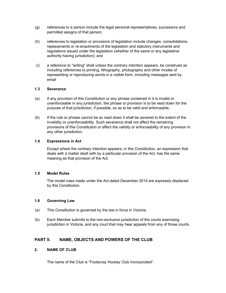- (g) references to a person include the legal personal representatives, successors and permitted assigns of that person;
- (h) references to legislation or provisions of legislation include changes, consolidations, replacements or re-enactments of the legislation and statutory instruments and regulations issued under the legislation (whether of the same or any legislative authority having jurisdiction); and
- (i) a reference to "writing" shall unless the contrary intention appears, be construed as including references to printing, lithography, photography and other modes of representing or reproducing words in a visible form, including messages sent by email

# 1.3 Severance

- (a) If any provision of this Constitution or any phrase contained in it is invalid or unenforceable in any jurisdiction, the phrase or provision is to be read down for the purpose of that jurisdiction, if possible, so as to be valid and enforceable.
- (b) If the rule or phrase cannot be so read down it shall be severed to the extent of the invalidity or unenforceability. Such severance shall not affect the remaining provisions of this Constitution or affect the validity or enforceability of any provision in any other jurisdiction.

#### 1.4 Expressions in Act

Except where the contrary intention appears, in this Constitution, an expression that deals with a matter dealt with by a particular provision of the Act, has the same meaning as that provision of the Act.

# 1.5 Model Rules

The model rules made under the Act dated December 2014 are expressly displaced by this Constitution.

#### 1.6 Governing Law

- (a) This Constitution is governed by the law in force in Victoria.
- (b) Each Member submits to the non-exclusive jurisdiction of the courts exercising jurisdiction in Victoria, and any court that may hear appeals from any of those courts.

# PART II. NAME, OBJECTS AND POWERS OF THE CLUB

# 2. NAME OF CLUB

The name of the Club is "Footscray Hockey Club Incorporated".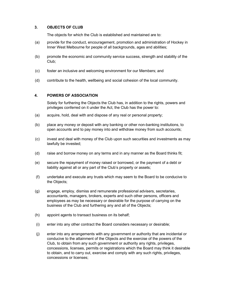# 3. OBJECTS OF CLUB

The objects for which the Club is established and maintained are to:

- (a) provide for the conduct, encouragement, promotion and administration of Hockey in Inner West Melbourne for people of all backgrounds, ages and abilities;
- (b) promote the economic and community service success, strength and stability of the Club;
- (c) foster an inclusive and welcoming environment for our Members; and
- (d) contribute to the health, wellbeing and social cohesion of the local community.

# 4. POWERS OF ASSOCIATION

Solely for furthering the Objects the Club has, in addition to the rights, powers and privileges conferred on it under the Act, the Club has the power to:

- (a) acquire, hold, deal with and dispose of any real or personal property;
- (b) place any money or deposit with any banking or other non-banking institutions, to open accounts and to pay money into and withdraw money from such accounts;
- (c) invest and deal with money of the Club upon such securities and investments as may lawfully be invested;
- (d) raise and borrow money on any terms and in any manner as the Board thinks fit;
- (e) secure the repayment of money raised or borrowed, or the payment of a debt or liability against all or any part of the Club's property or assets;
- (f) undertake and execute any trusts which may seem to the Board to be conducive to the Objects;
- (g) engage, employ, dismiss and remunerate professional advisers, secretaries, accountants, managers, brokers, experts and such other persons, officers and employees as may be necessary or desirable for the purpose of carrying on the business of the Club and furthering any and all of the Objects;
- (h) appoint agents to transact business on its behalf;
- (i) enter into any other contract the Board considers necessary or desirable;
- (j) enter into any arrangements with any government or authority that are incidental or conducive to the attainment of the Objects and the exercise of the powers of the Club, to obtain from any such government or authority any rights, privileges, concessions, licenses, permits or registrations which the Board may think it desirable to obtain, and to carry out, exercise and comply with any such rights, privileges, concessions or licenses;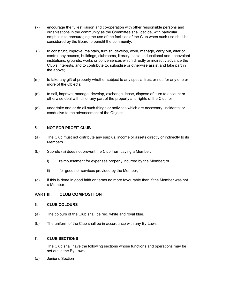- (k) encourage the fullest liaison and co-operation with other responsible persons and organisations in the community as the Committee shall decide, with particular emphasis to encouraging the use of the facilities of the Club when such use shall be considered by the Board to benefit the community;
- (l) to construct, improve, maintain, furnish, develop, work, manage, carry out, alter or control any houses, buildings, clubrooms, literary, social, educational and benevolent institutions, grounds, works or conveniences which directly or indirectly advance the Club's interests, and to contribute to, subsidise or otherwise assist and take part in the above;
- (m) to take any gift of property whether subject to any special trust or not, for any one or more of the Objects;
- (n) to sell, improve, manage, develop, exchange, lease, dispose of, turn to account or otherwise deal with all or any part of the property and rights of the Club; or
- (o) undertake and or do all such things or activities which are necessary, incidental or conducive to the advancement of the Objects.

# 5. NOT FOR PROFIT CLUB

- (a) The Club must not distribute any surplus, income or assets directly or indirectly to its Members.
- (b) Subrule (a) does not prevent the Club from paying a Member:
	- i) reimbursement for expenses properly incurred by the Member; or
	- ii) for goods or services provided by the Member,
- (c) if this is done in good faith on terms no more favourable than if the Member was not a Member.

# PART III. CLUB COMPOSITION

#### 6. CLUB COLOURS

- (a) The colours of the Club shall be red, white and royal blue.
- (b) The uniform of the Club shall be in accordance with any By-Laws.

# 7. CLUB SECTIONS

The Club shall have the following sections whose functions and operations may be set out in the By-Laws:

(a) Junior's Section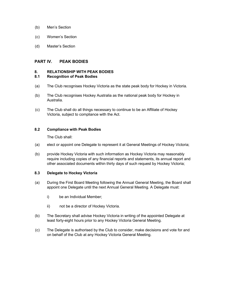- (b) Men's Section
- (c) Women's Section
- (d) Master's Section

# PART IV. PEAK BODIES

#### 8. RELATIONSHIP WITH PEAK BODIES

#### 8.1 Recognition of Peak Bodies

- (a) The Club recognises Hockey Victoria as the state peak body for Hockey in Victoria.
- (b) The Club recognises Hockey Australia as the national peak body for Hockey in Australia.
- (c) The Club shall do all things necessary to continue to be an Affiliate of Hockey Victoria, subject to compliance with the Act.

#### 8.2 Compliance with Peak Bodies

The Club shall:

- (a) elect or appoint one Delegate to represent it at General Meetings of Hockey Victoria;
- (b) provide Hockey Victoria with such information as Hockey Victoria may reasonably require including copies of any financial reports and statements, its annual report and other associated documents within thirty days of such request by Hockey Victoria;

# 8.3 Delegate to Hockey Victoria

- (a) During the First Board Meeting following the Annual General Meeting, the Board shall appoint one Delegate until the next Annual General Meeting. A Delegate must:
	- i) be an Individual Member;
	- ii) not be a director of Hockey Victoria.
- (b) The Secretary shall advise Hockey Victoria in writing of the appointed Delegate at least forty-eight hours prior to any Hockey Victoria General Meeting.
- (c) The Delegate is authorised by the Club to consider, make decisions and vote for and on behalf of the Club at any Hockey Victoria General Meeting.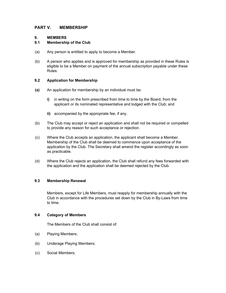# PART V. MEMBERSHIP

# 9. MEMBERS

# 9.1 Membership of the Club

- (a) Any person is entitled to apply to become a Member.
- (b) A person who applies and is approved for membership as provided in these Rules is eligible to be a Member on payment of the annual subscription payable under these Rules.

# 9.2 Application for Membership

- (a) An application for membership by an individual must be:
	- i) in writing on the form prescribed from time to time by the Board, from the applicant or its nominated representative and lodged with the Club; and
	- ii) accompanied by the appropriate fee, if any.
- (b) The Club may accept or reject an application and shall not be required or compelled to provide any reason for such acceptance or rejection.
- (c) Where the Club accepts an application, the applicant shall become a Member. Membership of the Club shall be deemed to commence upon acceptance of the application by the Club. The Secretary shall amend the register accordingly as soon as practicable.
- (d) Where the Club rejects an application, the Club shall refund any fees forwarded with the application and the application shall be deemed rejected by the Club.

# 9.3 Membership Renewal

Members, except for Life Members, must reapply for membership annually with the Club in accordance with the procedures set down by the Club in By-Laws from time to time.

# 9.4 Category of Members

The Members of the Club shall consist of:

- (a) Playing Members;
- (b) Underage Playing Members;
- (c) Social Members;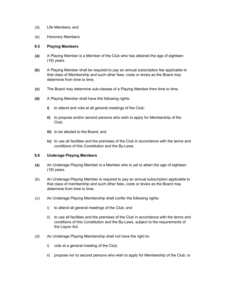- (d) Life Members; and
- (e) Honorary Members.

#### 9.5 Playing Members

- (a) A Playing Member is a Member of the Club who has attained the age of eighteen (18) years.
- (b) A Playing Member shall be required to pay an annual subscription fee applicable to that class of Membership and such other fees, costs or levies as the Board may determine from time to time.
- (c) The Board may determine sub-classes of a Playing Member from time to time.
- (d) A Playing Member shall have the following rights:
	- i) to attend and vote at all general meetings of the Club;
	- ii) to propose and/or second persons who wish to apply for Membership of the Club;
	- iii) to be elected to the Board; and
	- iv) to use all facilities and the premises of the Club in accordance with the terms and conditions of this Constitution and the By-Laws.

#### 9.6 Underage Playing Members

- (a) An Underage Playing Member is a Member who is yet to attain the age of eighteen (18) years.
- (b) An Underage Playing Member is required to pay an annual subscription applicable to that class of membership and such other fees, costs or levies as the Board may determine from time to time.
- (c) An Underage Playing Membership shall confer the following rights:
	- i) to attend all general meetings of the Club; and
	- ii) to use all facilities and the premises of the Club in accordance with the terms and conditions of this Constitution and the By-Laws, subject to the requirements of the Liquor Act.
- (d) An Underage Playing Membership shall not have the right to:
	- i) vote at a general meeting of the Club;
	- ii) propose nor to second persons who wish to apply for Membership of the Club; or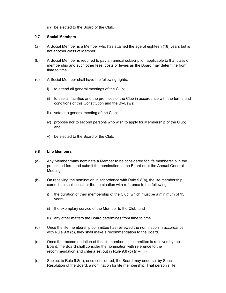iii) be elected to the Board of the Club.

# 9.7 Social Members

- (a) A Social Member is a Member who has attained the age of eighteen (18) years but is not another class of Member.
- (b) A Social Member is required to pay an annual subscription applicable to that class of membership and such other fees, costs or levies as the Board may determine from time to time.
- (c) A Social Member shall have the following rights:
	- i) to attend all general meetings of the Club;
	- ii) to use all facilities and the premises of the Club in accordance with the terms and conditions of this Constitution and the By-Laws;
	- iii) vote at a general meeting of the Club;
	- iv) propose nor to second persons who wish to apply for Membership of the Club; and
	- v) be elected to the Board of the Club.

# 9.8 Life Members

- (a) Any Member many nominate a Member to be considered for life membership in the prescribed form and submit the nomination to the Board or at the Annual General Meeting.
- (b) On receiving the nomination in accordance with Rule 9.8(a), the life membership committee shall consider the nomination with reference to the following:
	- i) the duration of their membership of the Club, which must be a minimum of 15 years;
	- ii) the exemplary service of the Member to the Club; and
	- iii) any other matters the Board determines from time to time.
- (c) Once the life membership committee has reviewed the nomination in accordance with Rule 9.8 (b), they shall make a recommendation to the Board.
- (d) Once the recommendation of the life membership committee is received by the Board, the Board shall consider the nomination with reference to the recommendation and criteria set out in Rule 9.8 (b)  $(i) - (iii)$
- (e) Subject to Rule 9.8(h), once considered, the Board may endorse, by Special Resolution of the Board, a nomination for life membership. That person's life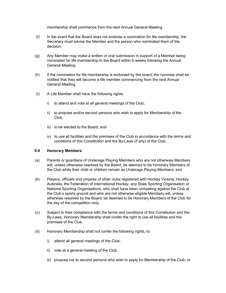membership shall commence from the next Annual General Meeting.

- (f) In the event that the Board does not endorse a nomination for life membership, the Secretary must advise the Member and the person who nominated them of the decision.
- (g) Any Member may make a written or oral submission in support of a Member being nominated for life membership to the Board within 6 weeks following the Annual General Meeting.
- (h) If the nomination for life membership is endorsed by the board, the nominee shall be notified that they will become a life member commencing from the next Annual General Meeting.
- (i) A Life Member shall have the following rights:
	- i) to attend and vote at all general meetings of the Club;
	- ii) to propose and/or second persons who wish to apply for Membership of the Club;
	- iii) to be elected to the Board; and
	- iv) to use all facilities and the premises of the Club in accordance with the terms and conditions of this Constitution and the By-Laws (if any) of the Club.

# 9.9 Honorary Members

- (a) Parents or guardians of Underage Playing Members who are not otherwise Members will, unless otherwise resolved by the Board, be deemed to be Honorary Members of the Club while their child or children remain as Underage Playing Members; and
- (b) Players, officials and umpires of other clubs registered with Hockey Victoria, Hockey Australia, the Federation of International Hockey, any State Sporting Organisation or National Sporting Organisations, who shall have been competing against the Club at the Club's sports ground and who are not otherwise eligible Members will, unless otherwise resolved by the Board, be deemed to be Honorary Members of the Club for the day of the competition only.
- (c) Subject to their compliance with the terms and conditions of this Constitution and the By-Laws, Honorary Membership shall confer the right to use all facilities and the premises of the Club.
- (d) Honorary Membership shall not confer the following rights, to:
	- i) attend all general meetings of the Club;
	- ii) vote at a general meeting of the Club;
	- iii) propose nor to second persons who wish to apply for Membership of the Club; or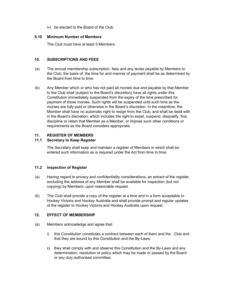iv) be elected to the Board of the Club.

# 9.10 Minimum Number of Members

The Club must have at least 5 Members.

# 10. SUBSCRIPTIONS AND FEES

- (a) The annual membership subscription, fees and any levies payable by Members to the Club, the basis of, the time for and manner of payment shall be as determined by the Board from time to time.
- (b) Any Member which or who has not paid all monies due and payable by that Member to the Club shall (subject to the Board's discretion) have all rights under this Constitution immediately suspended from the expiry of the time prescribed for payment of those monies. Such rights will be suspended until such time as the monies are fully paid or otherwise in the Board's discretion. In the meantime, the Member shall have no automatic right to resign from the Club, and shall be dealt with in the Board's discretion, which includes the right to expel, suspend, disqualify, fine, discipline or retain that Member as a Member, or impose such other conditions or requirements as the Board considers appropriate.

# 11. REGISTER OF MEMBERS

# 11.1 Secretary to Keep Register

The Secretary shall keep and maintain a register of Members in which shall be entered such information as is required under the Act from time to time.

# 11.2 Inspection of Register

- (a) Having regard to privacy and confidentiality considerations, an extract of the register, excluding the address of any Member shall be available for inspection (but not copying) by Members, upon reasonable request.
- (b) The Club shall provide a copy of the register at a time and in a form acceptable to Hockey Victoria and Hockey Australia and shall provide prompt and regular updates of the register to Hockey Victoria and Hockey Australia upon request.

# 12. EFFECT OF MEMBERSHIP

- (a) Members acknowledge and agree that:
	- i) this Constitution constitutes a contract between each of them and the Club and that they are bound by this Constitution and the By-Laws;
	- ii) they shall comply with and observe this Constitution and the By-Laws and any determination, resolution or policy which may be made or passed by the Board or any duly authorised committee;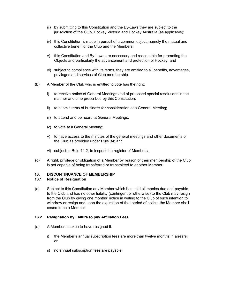- iii) by submitting to this Constitution and the By-Laws they are subject to the jurisdiction of the Club, Hockey Victoria and Hockey Australia (as applicable);
- iv) this Constitution is made in pursuit of a common object, namely the mutual and collective benefit of the Club and the Members;
- v) this Constitution and By-Laws are necessary and reasonable for promoting the Objects and particularly the advancement and protection of Hockey; and
- vi) subject to compliance with its terms, they are entitled to all benefits, advantages, privileges and services of Club membership.
- (b) A Member of the Club who is entitled to vote has the right:
	- i) to receive notice of General Meetings and of proposed special resolutions in the manner and time prescribed by this Constitution;
	- ii) to submit items of business for consideration at a General Meeting;
	- iii) to attend and be heard at General Meetings;
	- iv) to vote at a General Meeting;
	- v) to have access to the minutes of the general meetings and other documents of the Club as provided under Rule 34; and
	- vi) subject to Rule 11.2, to inspect the register of Members.
- (c) A right, privilege or obligation of a Member by reason of their membership of the Club is not capable of being transferred or transmitted to another Member.

# 13. DISCONTINUANCE OF MEMBERSHIP

#### 13.1 Notice of Resignation

(a) Subject to this Constitution any Member which has paid all monies due and payable to the Club and has no other liability (contingent or otherwise) to the Club may resign from the Club by giving one months' notice in writing to the Club of such intention to withdraw or resign and upon the expiration of that period of notice, the Member shall cease to be a Member.

#### 13.2 Resignation by Failure to pay Affiliation Fees

- (a) A Member is taken to have resigned if:
	- i) the Member's annual subscription fees are more than twelve months in arrears; or
	- ii) no annual subscription fees are payable: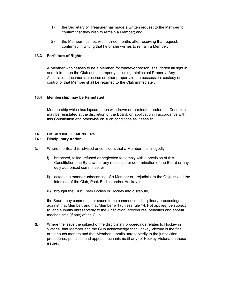- 1) the Secretary or Treasurer has made a written request to the Member to confirm that they wish to remain a Member; and
- 2) the Member has not, within three months after receiving that request, confirmed in writing that he or she wishes to remain a Member.

# 13.3 Forfeiture of Rights

A Member who ceases to be a Member, for whatever reason, shall forfeit all right in and claim upon the Club and its property including Intellectual Property. Any Association documents, records or other property in the possession, custody or control of that Member shall be returned to the Club immediately.

# 13.4 Membership may be Reinstated

Membership which has lapsed, been withdrawn or terminated under this Constitution may be reinstated at the discretion of the Board, on application in accordance with this Constitution and otherwise on such conditions as it sees fit.

# 14. DISCIPLINE OF MEMBERS

# 14.1 Disciplinary Action

- (a) Where the Board is advised or considers that a Member has allegedly:
	- i) breached, failed, refused or neglected to comply with a provision of this Constitution, the By-Laws or any resolution or determination of the Board or any duly authorised committee; or
	- ii) acted in a manner unbecoming of a Member or prejudicial to the Objects and the interests of the Club, Peak Bodies and/or Hockey; or
	- iii) brought the Club, Peak Bodies or Hockey into disrepute,

the Board may commence or cause to be commenced disciplinary proceedings against that Member, and that Member will (unless rule 14.1(b) applies) be subject to, and submits unreservedly to the jurisdiction, procedures, penalties and appeal mechanisms (if any) of the Club.

(b) Where the issue the subject of the disciplinary proceedings relates to Hockey in Victoria, that Member and the Club acknowledge that Hockey Victoria is the final arbiter such matters and that Member submits unreservedly to the jurisdiction, procedures, penalties and appeal mechanisms (if any) of Hockey Victoria on those issues.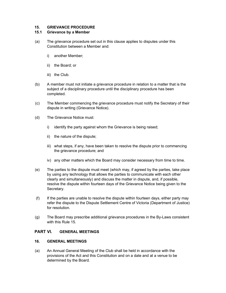# 15. GRIEVANCE PROCEDURE

# 15.1 Grievance by a Member

- (a) The grievance procedure set out in this clause applies to disputes under this Constitution between a Member and:
	- i) another Member;
	- ii) the Board; or
	- iii) the Club.
- (b) A member must not initiate a grievance procedure in relation to a matter that is the subject of a disciplinary procedure until the disciplinary procedure has been completed.
- (c) The Member commencing the grievance procedure must notify the Secretary of their dispute in writing (Grievance Notice).
- (d) The Grievance Notice must:
	- i) identify the party against whom the Grievance is being raised;
	- ii) the nature of the dispute;
	- iii) what steps, if any, have been taken to resolve the dispute prior to commencing the grievance procedure; and
	- iv) any other matters which the Board may consider necessary from time to time.
- (e) The parties to the dispute must meet (which may, if agreed by the parties, take place by using any technology that allows the parties to communicate with each other clearly and simultaneously) and discuss the matter in dispute, and, if possible, resolve the dispute within fourteen days of the Grievance Notice being given to the Secretary.
- (f) If the parties are unable to resolve the dispute within fourteen days, either party may refer the dispute to the Dispute Settlement Centre of Victoria (Department of Justice) for resolution.
- (g) The Board may prescribe additional grievance procedures in the By-Laws consistent with this Rule 15.

# PART VI. GENERAL MEETINGS

# 16. GENERAL MEETINGS

(a) An Annual General Meeting of the Club shall be held in accordance with the provisions of the Act and this Constitution and on a date and at a venue to be determined by the Board.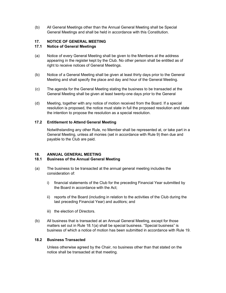(b) All General Meetings other than the Annual General Meeting shall be Special General Meetings and shall be held in accordance with this Constitution.

# 17. NOTICE OF GENERAL MEETING

# 17.1 Notice of General Meetings

- (a) Notice of every General Meeting shall be given to the Members at the address appearing in the register kept by the Club. No other person shall be entitled as of right to receive notices of General Meetings.
- (b) Notice of a General Meeting shall be given at least thirty days prior to the General Meeting and shall specify the place and day and hour of the General Meeting.
- (c) The agenda for the General Meeting stating the business to be transacted at the General Meeting shall be given at least twenty-one days prior to the General
- (d) Meeting, together with any notice of motion received from the Board. If a special resolution is proposed, the notice must state in full the proposed resolution and state the intention to propose the resolution as a special resolution.

#### 17.2 Entitlement to Attend General Meeting

Notwithstanding any other Rule, no Member shall be represented at, or take part in a General Meeting, unless all monies (set in accordance with Rule 9) then due and payable to the Club are paid.

#### 18. ANNUAL GENERAL MEETING

# 18.1 Business of the Annual General Meeting

- (a) The business to be transacted at the annual general meeting includes the consideration of:
	- i) financial statements of the Club for the preceding Financial Year submitted by the Board in accordance with the Act;
	- ii) reports of the Board (including in relation to the activities of the Club during the last preceding Financial Year) and auditors; and
	- iii) the election of Directors.
- (b) All business that is transacted at an Annual General Meeting, except for those matters set out in Rule 18.1(a) shall be special business. "Special business" is business of which a notice of motion has been submitted in accordance with Rule 19.

#### 18.2 Business Transacted

Unless otherwise agreed by the Chair, no business other than that stated on the notice shall be transacted at that meeting.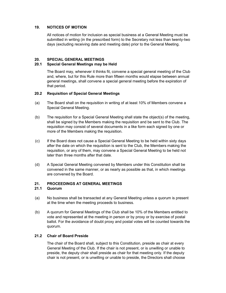# 19. NOTICES OF MOTION

All notices of motion for inclusion as special business at a General Meeting must be submitted in writing (in the prescribed form) to the Secretary not less than twenty-two days (excluding receiving date and meeting date) prior to the General Meeting.

# 20. SPECIAL GENERAL MEETINGS

# 20.1 Special General Meetings may be Held

The Board may, whenever it thinks fit, convene a special general meeting of the Club and, where, but for this Rule more than fifteen months would elapse between annual general meetings, shall convene a special general meeting before the expiration of that period.

# 20.2 Requisition of Special General Meetings

- (a) The Board shall on the requisition in writing of at least 10% of Members convene a Special General Meeting.
- (b) The requisition for a Special General Meeting shall state the object(s) of the meeting, shall be signed by the Members making the requisition and be sent to the Club. The requisition may consist of several documents in a like form each signed by one or more of the Members making the requisition.
- (c) If the Board does not cause a Special General Meeting to be held within sixty days after the date on which the requisition is sent to the Club, the Members making the requisition, or any of them, may convene a Special General Meeting to be held not later than three months after that date.
- (d) A Special General Meeting convened by Members under this Constitution shall be convened in the same manner, or as nearly as possible as that, in which meetings are convened by the Board.

# 21. PROCEEDINGS AT GENERAL MEETINGS

# 21.1 Quorum

- (a) No business shall be transacted at any General Meeting unless a quorum is present at the time when the meeting proceeds to business.
- (b) A quorum for General Meetings of the Club shall be 10% of the Members entitled to vote and represented at the meeting in person or by proxy or by exercise of postal ballot. For the avoidance of doubt proxy and postal votes will be counted towards the quorum.

# 21.2 Chair of Board Preside

The chair of the Board shall, subject to this Constitution, preside as chair at every General Meeting of the Club. If the chair is not present, or is unwilling or unable to preside, the deputy chair shall preside as chair for that meeting only. If the deputy chair is not present, or is unwilling or unable to preside, the Directors shall choose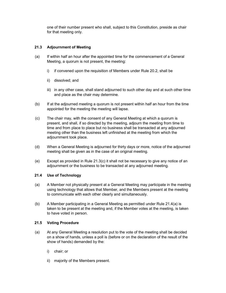one of their number present who shall, subject to this Constitution, preside as chair for that meeting only.

# 21.3 Adjournment of Meeting

- (a) If within half an hour after the appointed time for the commencement of a General Meeting, a quorum is not present, the meeting:
	- i) if convened upon the requisition of Members under Rule 20.2, shall be
	- ii) dissolved; and
	- iii) in any other case, shall stand adjourned to such other day and at such other time and place as the chair may determine.
- (b) If at the adjourned meeting a quorum is not present within half an hour from the time appointed for the meeting the meeting will lapse.
- (c) The chair may, with the consent of any General Meeting at which a quorum is present, and shall, if so directed by the meeting, adjourn the meeting from time to time and from place to place but no business shall be transacted at any adjourned meeting other than the business left unfinished at the meeting from which the adjournment took place.
- (d) When a General Meeting is adjourned for thirty days or more, notice of the adjourned meeting shall be given as in the case of an original meeting.
- (e) Except as provided in Rule  $21.3(c)$  it shall not be necessary to give any notice of an adjournment or the business to be transacted at any adjourned meeting.

# 21.4 Use of Technology

- (a) A Member not physically present at a General Meeting may participate in the meeting using technology that allows that Member, and the Members present at the meeting to communicate with each other clearly and simultaneously.
- (b) A Member participating in a General Meeting as permitted under Rule 21.4(a) is taken to be present at the meeting and, if the Member votes at the meeting, is taken to have voted in person.

# 21.5 Voting Procedure

- (a) At any General Meeting a resolution put to the vote of the meeting shall be decided on a show of hands, unless a poll is (before or on the declaration of the result of the show of hands) demanded by the:
	- i) chair; or
	- ii) majority of the Members present.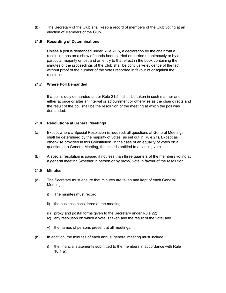(b) The Secretary of the Club shall keep a record of members of the Club voting at an election of Members of the Club.

# 21.6 Recording of Determinations

Unless a poll is demanded under Rule 21.5, a declaration by the chair that a resolution has on a show of hands been carried or carried unanimously or by a particular majority or lost and an entry to that effect in the book containing the minutes of the proceedings of the Club shall be conclusive evidence of the fact without proof of the number of the votes recorded in favour of or against the resolution.

# 21.7 Where Poll Demanded

If a poll is duly demanded under Rule 21.5 it shall be taken in such manner and either at once or after an interval or adjournment or otherwise as the chair directs and the result of the poll shall be the resolution of the meeting at which the poll was demanded.

# 21.8 Resolutions at General Meetings

- (a) Except where a Special Resolution is required, all questions at General Meetings shall be determined by the majority of votes (as set out in Rule 21). Except as otherwise provided in this Constitution, in the case of an equality of votes on a question at a General Meeting, the chair is entitled to a casting vote.
- (b) A special resolution is passed if not less than three quarters of the members voting at a general meeting (whether in person or by proxy) vote in favour of the resolution.

# 21.9 Minutes

- (a) The Secretary must ensure that minutes are taken and kept of each General Meeting.
	- i) The minutes must record:
	- ii) the business considered at the meeting;
	- iii) proxy and postal forms given to the Secretary under Rule 22;
	- iv) any resolution on which a vote is taken and the result of the vote; and
	- v) the names of persons present at all meetings.
- (b) In addition, the minutes of each annual general meeting must include:
	- i) the financial statements submitted to the members in accordance with Rule 18.1(a);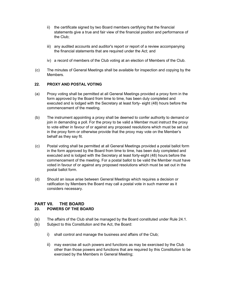- ii) the certificate signed by two Board members certifying that the financial statements give a true and fair view of the financial position and performance of the Club;
- iii) any audited accounts and auditor's report or report of a review accompanying the financial statements that are required under the Act; and
- iv) a record of members of the Club voting at an election of Members of the Club.
- (c) The minutes of General Meetings shall be available for inspection and copying by the Members.

# 22. PROXY AND POSTAL VOTING

- (a) Proxy voting shall be permitted at all General Meetings provided a proxy form in the form approved by the Board from time to time, has been duly completed and executed and is lodged with the Secretary at least forty- eight (48) hours before the commencement of the meeting.
- (b) The instrument appointing a proxy shall be deemed to confer authority to demand or join in demanding a poll. For the proxy to be valid a Member must instruct the proxy to vote either in favour of or against any proposed resolutions which must be set out in the proxy form or otherwise provide that the proxy may vote on the Member's behalf as they say fit.
- (c) Postal voting shall be permitted at all General Meetings provided a postal ballot form in the form approved by the Board from time to time, has been duly completed and executed and is lodged with the Secretary at least forty-eight (48) hours before the commencement of the meeting. For a postal ballot to be valid the Member must have voted in favour of or against any proposed resolutions which must be set out in the postal ballot form.
- (d) Should an issue arise between General Meetings which requires a decision or ratification by Members the Board may call a postal vote in such manner as it considers necessary.

# PART VII. THE BOARD

# 23. POWERS OF THE BOARD

- (a) The affairs of the Club shall be managed by the Board constituted under Rule 24.1.
- (b) Subject to this Constitution and the Act, the Board:
	- i) shall control and manage the business and affairs of the Club;
	- ii) may exercise all such powers and functions as may be exercised by the Club other than those powers and functions that are required by this Constitution to be exercised by the Members in General Meeting;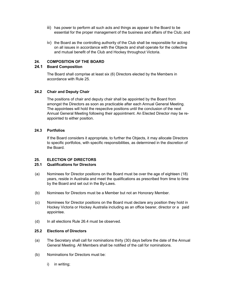- iii) has power to perform all such acts and things as appear to the Board to be essential for the proper management of the business and affairs of the Club; and
- iv) the Board as the controlling authority of the Club shall be responsible for acting on all issues in accordance with the Objects and shall operate for the collective and mutual benefit of the Club and Hockey throughout Victoria.

#### 24. COMPOSITION OF THE BOARD

#### 24.1 Board Composition

The Board shall comprise at least six (6) Directors elected by the Members in accordance with Rule 25.

# 24.2 Chair and Deputy Chair

The positions of chair and deputy chair shall be appointed by the Board from amongst the Directors as soon as practicable after each Annual General Meeting. The appointees will hold the respective positions until the conclusion of the next Annual General Meeting following their appointment. An Elected Director may be reappointed to either position.

#### 24.3 Portfolios

If the Board considers it appropriate, to further the Objects, it may allocate Directors to specific portfolios, with specific responsibilities, as determined in the discretion of the Board.

# 25. ELECTION OF DIRECTORS

### 25.1 Qualifications for Directors

- (a) Nominees for Director positions on the Board must be over the age of eighteen (18) years, reside in Australia and meet the qualifications as prescribed from time to time by the Board and set out in the By-Laws.
- (b) Nominees for Directors must be a Member but not an Honorary Member.
- (c) Nominees for Director positions on the Board must declare any position they hold in Hockey Victoria or Hockey Australia including as an office bearer, director or a paid appointee.
- (d) In all elections Rule 26.4 must be observed.

# 25.2 Elections of Directors

- (a) The Secretary shall call for nominations thirty (30) days before the date of the Annual General Meeting. All Members shall be notified of the call for nominations.
- (b) Nominations for Directors must be:
	- i) in writing;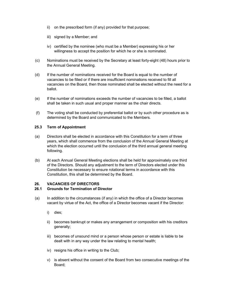- ii) on the prescribed form (if any) provided for that purpose;
- iii) signed by a Member; and
- iv) certified by the nominee (who must be a Member) expressing his or her willingness to accept the position for which he or she is nominated.
- (c) Nominations must be received by the Secretary at least forty-eight (48) hours prior to the Annual General Meeting.
- (d) If the number of nominations received for the Board is equal to the number of vacancies to be filled or if there are insufficient nominations received to fill all vacancies on the Board, then those nominated shall be elected without the need for a ballot.
- (e) If the number of nominations exceeds the number of vacancies to be filled, a ballot shall be taken in such usual and proper manner as the chair directs.
- (f) The voting shall be conducted by preferential ballot or by such other procedure as is determined by the Board and communicated to the Members.

#### 25.3 Term of Appointment

- (a) Directors shall be elected in accordance with this Constitution for a term of three years, which shall commence from the conclusion of the Annual General Meeting at which the election occurred until the conclusion of the third annual general meeting following.
- (b) At each Annual General Meeting elections shall be held for approximately one third of the Directors. Should any adjustment to the term of Directors elected under this Constitution be necessary to ensure rotational terms in accordance with this Constitution, this shall be determined by the Board.

#### 26. VACANCIES OF DIRECTORS

#### 26.1 Grounds for Termination of Director

- (a) In addition to the circumstances (if any) in which the office of a Director becomes vacant by virtue of the Act, the office of a Director becomes vacant if the Director:
	- i) dies;
	- ii) becomes bankrupt or makes any arrangement or composition with his creditors generally;
	- iii) becomes of unsound mind or a person whose person or estate is liable to be dealt with in any way under the law relating to mental health;
	- iv) resigns his office in writing to the Club;
	- v) is absent without the consent of the Board from two consecutive meetings of the Board;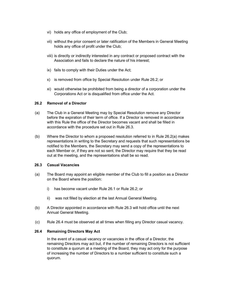- vi) holds any office of employment of the Club;
- vii) without the prior consent or later ratification of the Members in General Meeting holds any office of profit under the Club;
- viii) is directly or indirectly interested in any contract or proposed contract with the Association and fails to declare the nature of his interest;
- ix) fails to comply with their Duties under the Act;
- x) is removed from office by Special Resolution under Rule 26.2; or
- xi) would otherwise be prohibited from being a director of a corporation under the Corporations Act or is disqualified from office under the Act.

#### 26.2 Removal of a Director

- (a) The Club in a General Meeting may by Special Resolution remove any Director before the expiration of their term of office. If a Director is removed in accordance with this Rule the office of the Director becomes vacant and shall be filled in accordance with the procedure set out in Rule 26.3.
- (b) Where the Director to whom a proposed resolution referred to in Rule 26.2(a) makes representations in writing to the Secretary and requests that such representations be notified to the Members, the Secretary may send a copy of the representations to each Member or, if they are not so sent, the Director may require that they be read out at the meeting, and the representations shall be so read.

#### 26.3 Casual Vacancies

- (a) The Board may appoint an eligible member of the Club to fill a position as a Director on the Board where the position:
	- i) has become vacant under Rule 26.1 or Rule 26.2; or
	- ii) was not filled by election at the last Annual General Meeting.
- (b) A Director appointed in accordance with Rule 26.3 will hold office until the next Annual General Meeting.
- (c) Rule 26.4 must be observed at all times when filling any Director casual vacancy.

# 26.4 Remaining Directors May Act

In the event of a casual vacancy or vacancies in the office of a Director, the remaining Directors may act but, if the number of remaining Directors is not sufficient to constitute a quorum at a meeting of the Board, they may act only for the purpose of increasing the number of Directors to a number sufficient to constitute such a quorum.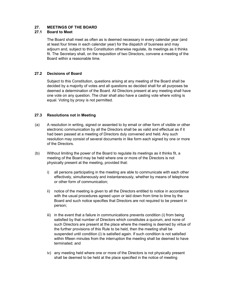# 27. MEETINGS OF THE BOARD

# 27.1 Board to Meet

The Board shall meet as often as is deemed necessary in every calendar year (and at least four times in each calendar year) for the dispatch of business and may adjourn and, subject to this Constitution otherwise regulate, its meetings as it thinks fit. The Secretary shall, on the requisition of two Directors, convene a meeting of the Board within a reasonable time.

# 27.2 Decisions of Board

Subject to this Constitution, questions arising at any meeting of the Board shall be decided by a majority of votes and all questions so decided shall for all purposes be deemed a determination of the Board. All Directors present at any meeting shall have one vote on any question. The chair shall also have a casting vote where voting is equal. Voting by proxy is not permitted.

# 27.3 Resolutions not in Meeting

- (a) A resolution in writing, signed or assented to by email or other form of visible or other electronic communication by all the Directors shall be as valid and effectual as if it had been passed at a meeting of Directors duly convened and held. Any such resolution may consist of several documents in like form each signed by one or more of the Directors.
- (b) Without limiting the power of the Board to regulate its meetings as it thinks fit, a meeting of the Board may be held where one or more of the Directors is not physically present at the meeting, provided that:
	- i) all persons participating in the meeting are able to communicate with each other effectively, simultaneously and instantaneously, whether by means of telephone or other form of communication;
	- ii) notice of the meeting is given to all the Directors entitled to notice in accordance with the usual procedures agreed upon or laid down from time to time by the Board and such notice specifies that Directors are not required to be present in person;
	- iii) in the event that a failure in communications prevents condition (i) from being satisfied by that number of Directors which constitutes a quorum, and none of such Directors are present at the place where the meeting is deemed by virtue of the further provisions of this Rule to be held, then the meeting shall be suspended until condition (i) is satisfied again. If such condition is not satisfied within fifteen minutes from the interruption the meeting shall be deemed to have terminated; and
	- iv) any meeting held where one or more of the Directors is not physically present shall be deemed to be held at the place specified in the notice of meeting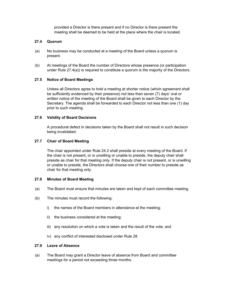provided a Director is there present and if no Director is there present the meeting shall be deemed to be held at the place where the chair is located.

# 27.4 Quorum

- (a) No business may be conducted at a meeting of the Board unless a quorum is present.
- (b) At meetings of the Board the number of Directors whose presence (or participation under Rule 27.4(a)) is required to constitute a quorum is the majority of the Directors.

#### 27.5 Notice of Board Meetings

Unless all Directors agree to hold a meeting at shorter notice (which agreement shall be sufficiently evidenced by their presence) not less than seven (7) days' oral or written notice of the meeting of the Board shall be given to each Director by the Secretary. The agenda shall be forwarded to each Director not less than one (1) day prior to such meeting.

#### 27.6 Validity of Board Decisions

A procedural defect in decisions taken by the Board shall not result in such decision being invalidated.

#### 27.7 Chair of Board Meeting

The chair appointed under Rule 24.2 shall preside at every meeting of the Board. If the chair is not present, or is unwilling or unable to preside, the deputy chair shall preside as chair for that meeting only. If the deputy chair is not present, or is unwilling or unable to preside, the Directors shall choose one of their number to preside as chair for that meeting only.

#### 27.8 Minutes of Board Meeting

- (a) The Board must ensure that minutes are taken and kept of each committee meeting.
- (b) The minutes must record the following:
	- i) the names of the Board members in attendance at the meeting;
	- ii) the business considered at the meeting;
	- iii) any resolution on which a vote is taken and the result of the vote; and
	- iv) any conflict of interested disclosed under Rule 28.

#### 27.9 Leave of Absence

(a) The Board may grant a Director leave of absence from Board and committee meetings for a period not exceeding three months.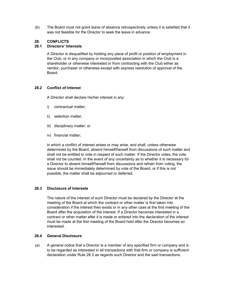(b) The Board must not grant leave of absence retrospectively unless it is satisfied that it was not feasible for the Director to seek the leave in advance.

# 28. CONFLICTS

### 28.1 Directors' Interests

A Director is disqualified by holding any place of profit or position of employment in the Club, or in any company or incorporated association in which the Club is a shareholder or otherwise interested or from contracting with the Club either as vendor, purchaser or otherwise except with express resolution of approval of the Board.

#### 28.2 Conflict of Interest

A Director shall declare his/her interest in any:

- i) contractual matter;
- ii) selection matter;
- iii) disciplinary matter; or
- iv) financial matter;

in which a conflict of interest arises or may arise, and shall, unless otherwise determined by the Board, absent himself/herself from discussions of such matter and shall not be entitled to vote in respect of such matter. If the Director votes, the vote shall not be counted. In the event of any uncertainty as to whether it is necessary for a Director to absent himself/herself from discussions and refrain from voting, the issue should be immediately determined by vote of the Board, or if this is not possible, the matter shall be adjourned or deferred.

#### 28.3 Disclosure of Interests

The nature of the interest of such Director must be declared by the Director at the meeting of the Board at which the contract or other matter is first taken into consideration if the interest then exists or in any other case at the first meeting of the Board after the acquisition of the interest. If a Director becomes interested in a contract or other matter after it is made or entered into the declaration of the interest must be made at the first meeting of the Board held after the Director becomes so interested.

# 28.4 General Disclosure

(a) A general notice that a Director is a member of any specified firm or company and is to be regarded as interested in all transactions with that firm or company is sufficient declaration under Rule 28.3 as regards such Director and the said transactions.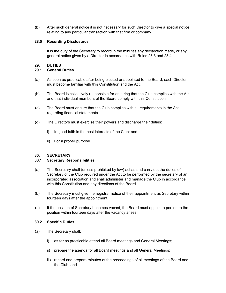(b) After such general notice it is not necessary for such Director to give a special notice relating to any particular transaction with that firm or company.

# 28.5 Recording Disclosures

It is the duty of the Secretary to record in the minutes any declaration made, or any general notice given by a Director in accordance with Rules 28.3 and 28.4.

# 29. DUTIES

# 29.1 General Duties

- (a) As soon as practicable after being elected or appointed to the Board, each Director must become familiar with this Constitution and the Act.
- (b) The Board is collectively responsible for ensuring that the Club complies with the Act and that individual members of the Board comply with this Constitution.
- (c) The Board must ensure that the Club complies with all requirements in the Act regarding financial statements.
- (d) The Directors must exercise their powers and discharge their duties:
	- i) In good faith in the best interests of the Club; and
	- ii) For a proper purpose.

# 30. SECRETARY

# 30.1 Secretary Responsibilities

- (a) The Secretary shall (unless prohibited by law) act as and carry out the duties of Secretary of the Club required under the Act to be performed by the secretary of an incorporated association and shall administer and manage the Club in accordance with this Constitution and any directions of the Board.
- (b) The Secretary must give the registrar notice of their appointment as Secretary within fourteen days after the appointment.
- (c) If the position of Secretary becomes vacant, the Board must appoint a person to the position within fourteen days after the vacancy arises.

# 30.2 Specific Duties

- (a) The Secretary shall:
	- i) as far as practicable attend all Board meetings and General Meetings;
	- ii) prepare the agenda for all Board meetings and all General Meetings;
	- iii) record and prepare minutes of the proceedings of all meetings of the Board and the Club; and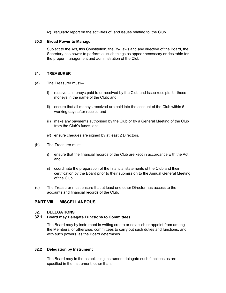iv) regularly report on the activities of, and issues relating to, the Club.

#### 30.3 Broad Power to Manage

Subject to the Act, this Constitution, the By-Laws and any directive of the Board, the Secretary has power to perform all such things as appear necessary or desirable for the proper management and administration of the Club.

# 31. TREASURER

- (a) The Treasurer must
	- i) receive all moneys paid to or received by the Club and issue receipts for those moneys in the name of the Club; and
	- ii) ensure that all moneys received are paid into the account of the Club within 5 working days after receipt; and
	- iii) make any payments authorised by the Club or by a General Meeting of the Club from the Club's funds; and
	- iv) ensure cheques are signed by at least 2 Directors.
- (b) The Treasurer must
	- i) ensure that the financial records of the Club are kept in accordance with the Act; and
	- ii) coordinate the preparation of the financial statements of the Club and their certification by the Board prior to their submission to the Annual General Meeting of the Club.
- (c) The Treasurer must ensure that at least one other Director has access to the accounts and financial records of the Club.

# PART VIII. MISCELLANEOUS

# 32. DELEGATIONS

# 32.1 Board may Delegate Functions to Committees

The Board may by instrument in writing create or establish or appoint from among the Members, or otherwise, committees to carry out such duties and functions, and with such powers, as the Board determines.

# 32.2 Delegation by Instrument

The Board may in the establishing instrument delegate such functions as are specified in the instrument, other than: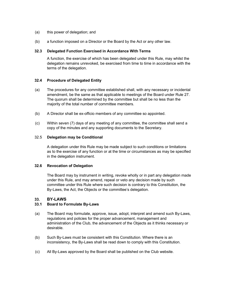- (a) this power of delegation; and
- (b) a function imposed on a Director or the Board by the Act or any other law.

#### 32.3 Delegated Function Exercised in Accordance With Terms

A function, the exercise of which has been delegated under this Rule, may whilst the delegation remains unrevoked, be exercised from time to time in accordance with the terms of the delegation.

# 32.4 Procedure of Delegated Entity

- (a) The procedures for any committee established shall, with any necessary or incidental amendment, be the same as that applicable to meetings of the Board under Rule 27. The quorum shall be determined by the committee but shall be no less than the majority of the total number of committee members.
- (b) A Director shall be ex-officio members of any committee so appointed.
- (c) Within seven (7) days of any meeting of any committee, the committee shall send a copy of the minutes and any supporting documents to the Secretary.

#### 32.5 Delegation may be Conditional

A delegation under this Rule may be made subject to such conditions or limitations as to the exercise of any function or at the time or circumstances as may be specified in the delegation instrument.

#### 32.6 Revocation of Delegation

The Board may by instrument in writing, revoke wholly or in part any delegation made under this Rule, and may amend, repeal or veto any decision made by such committee under this Rule where such decision is contrary to this Constitution, the By-Laws, the Act, the Objects or the committee's delegation.

# 33. BY-LAWS

# 33.1 Board to Formulate By-Laws

- (a) The Board may formulate, approve, issue, adopt, interpret and amend such By-Laws, regulations and policies for the proper advancement, management and administration of the Club, the advancement of the Objects as it thinks necessary or desirable.
- (b) Such By-Laws must be consistent with this Constitution. Where there is an inconsistency, the By-Laws shall be read down to comply with this Constitution.
- (c) All By-Laws approved by the Board shall be published on the Club website.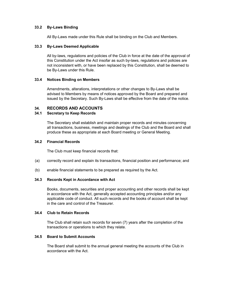# 33.2 By-Laws Binding

All By-Laws made under this Rule shall be binding on the Club and Members.

## 33.3 By-Laws Deemed Applicable

All by-laws, regulations and policies of the Club in force at the date of the approval of this Constitution under the Act insofar as such by-laws, regulations and policies are not inconsistent with, or have been replaced by this Constitution, shall be deemed to be By-Laws under this Rule.

#### 33.4 Notices Binding on Members

Amendments, alterations, interpretations or other changes to By-Laws shall be advised to Members by means of notices approved by the Board and prepared and issued by the Secretary. Such By-Laws shall be effective from the date of the notice.

# 34. RECORDS AND ACCOUNTS

# 34.1 Secretary to Keep Records

The Secretary shall establish and maintain proper records and minutes concerning all transactions, business, meetings and dealings of the Club and the Board and shall produce these as appropriate at each Board meeting or General Meeting.

#### 34.2 Financial Records

The Club must keep financial records that:

- (a) correctly record and explain its transactions, financial position and performance; and
- (b) enable financial statements to be prepared as required by the Act.

#### 34.3 Records Kept in Accordance with Act

Books, documents, securities and proper accounting and other records shall be kept in accordance with the Act, generally accepted accounting principles and/or any applicable code of conduct. All such records and the books of account shall be kept in the care and control of the Treasurer.

# 34.4 Club to Retain Records

The Club shall retain such records for seven (7) years after the completion of the transactions or operations to which they relate.

# 34.5 Board to Submit Accounts

The Board shall submit to the annual general meeting the accounts of the Club in accordance with the Act.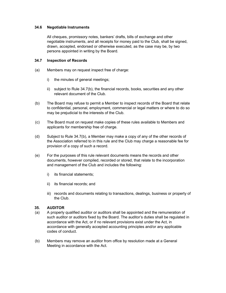# 34.6 Negotiable Instruments

All cheques, promissory notes, bankers' drafts, bills of exchange and other negotiable instruments, and all receipts for money paid to the Club, shall be signed, drawn, accepted, endorsed or otherwise executed, as the case may be, by two persons appointed in writing by the Board.

#### 34.7 Inspection of Records

- (a) Members may on request inspect free of charge:
	- i) the minutes of general meetings;
	- ii) subject to Rule 34.7(b), the financial records, books, securities and any other relevant document of the Club.
- (b) The Board may refuse to permit a Member to inspect records of the Board that relate to confidential, personal, employment, commercial or legal matters or where to do so may be prejudicial to the interests of the Club.
- (c) The Board must on request make copies of these rules available to Members and applicants for membership free of charge.
- (d) Subject to Rule 34.7(b), a Member may make a copy of any of the other records of the Association referred to in this rule and the Club may charge a reasonable fee for provision of a copy of such a record.
- (e) For the purposes of this rule relevant documents means the records and other documents, however compiled, recorded or stored, that relate to the incorporation and management of the Club and includes the following:
	- i) its financial statements;
	- ii) its financial records; and
	- iii) records and documents relating to transactions, dealings, business or property of the Club.

# 35. AUDITOR

- (a) A properly qualified auditor or auditors shall be appointed and the remuneration of such auditor or auditors fixed by the Board. The auditor's duties shall be regulated in accordance with the Act, or if no relevant provisions exist under the Act, in accordance with generally accepted accounting principles and/or any applicable codes of conduct.
- (b) Members may remove an auditor from office by resolution made at a General Meeting in accordance with the Act.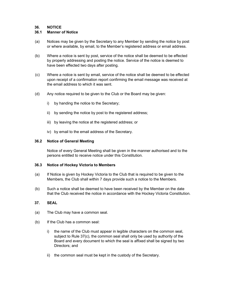# 36. NOTICE

# 36.1 Manner of Notice

- (a) Notices may be given by the Secretary to any Member by sending the notice by post or where available, by email, to the Member's registered address or email address.
- (b) Where a notice is sent by post, service of the notice shall be deemed to be effected by properly addressing and posting the notice. Service of the notice is deemed to have been effected two days after posting.
- (c) Where a notice is sent by email, service of the notice shall be deemed to be effected upon receipt of a confirmation report confirming the email message was received at the email address to which it was sent.
- (d) Any notice required to be given to the Club or the Board may be given:
	- i) by handing the notice to the Secretary;
	- ii) by sending the notice by post to the registered address;
	- iii) by leaving the notice at the registered address; or
	- iv) by email to the email address of the Secretary.

#### 36.2 Notice of General Meeting

Notice of every General Meeting shall be given in the manner authorised and to the persons entitled to receive notice under this Constitution.

#### 36.3 Notice of Hockey Victoria to Members

- (a) If Notice is given by Hockey Victoria to the Club that is required to be given to the Members, the Club shall within 7 days provide such a notice to the Members.
- (b) Such a notice shall be deemed to have been received by the Member on the date that the Club received the notice in accordance with the Hockey Victoria Constitution.

# 37. SEAL

- (a) The Club may have a common seal.
- (b) If the Club has a common seal:
	- i) the name of the Club must appear in legible characters on the common seal, subject to Rule 37(c), the common seal shall only be used by authority of the Board and every document to which the seal is affixed shall be signed by two Directors; and
	- ii) the common seal must be kept in the custody of the Secretary.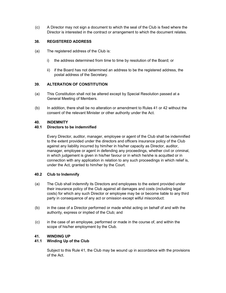(c) A Director may not sign a document to which the seal of the Club is fixed where the Director is interested in the contract or arrangement to which the document relates.

# 38. REGISTERED ADDRESS

- (a) The registered address of the Club is:
	- i) the address determined from time to time by resolution of the Board; or
	- ii) if the Board has not determined an address to be the registered address, the postal address of the Secretary.

# 39. ALTERATION OF CONSTITUTION

- (a) This Constitution shall not be altered except by Special Resolution passed at a General Meeting of Members.
- (b) In addition, there shall be no alteration or amendment to Rules 41 or 42 without the consent of the relevant Minister or other authority under the Act.

# 40. INDEMNITY

# 40.1 Directors to be indemnified

Every Director, auditor, manager, employee or agent of the Club shall be indemnified to the extent provided under the directors and officers insurance policy of the Club against any liability incurred by him/her in his/her capacity as Director, auditor, manager, employee or agent in defending any proceedings, whether civil or criminal, in which judgement is given in his/her favour or in which he/she is acquitted or in connection with any application in relation to any such proceedings in which relief is, under the Act, granted to him/her by the Court.

# 40.2 Club to Indemnify

- (a) The Club shall indemnify its Directors and employees to the extent provided under their insurance policy of the Club against all damages and costs (including legal costs) for which any such Director or employee may be or become liable to any third party in consequence of any act or omission except wilful misconduct:
- (b) in the case of a Director performed or made whilst acting on behalf of and with the authority, express or implied of the Club; and
- (c) in the case of an employee, performed or made in the course of, and within the scope of his/her employment by the Club.

# 41. WINDING UP

# 41.1 Winding Up of the Club

Subject to this Rule 41, the Club may be wound up in accordance with the provisions of the Act.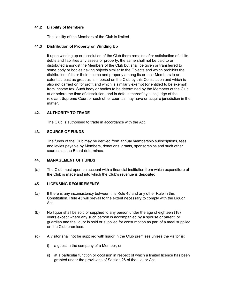# 41.2 Liability of Members

The liability of the Members of the Club is limited.

# 41.3 Distribution of Property on Winding Up

If upon winding up or dissolution of the Club there remains after satisfaction of all its debts and liabilities any assets or property, the same shall not be paid to or distributed amongst the Members of the Club but shall be given or transferred to some body or bodies having objects similar to the Objects and which prohibits the distribution of its or their income and property among its or their Members to an extent at least as great as is imposed on the Club by this Constitution and which is also not carried on for profit and which is similarly exempt (or entitled to be exempt) from income tax. Such body or bodies to be determined by the Members of the Club at or before the time of dissolution, and in default thereof by such judge of the relevant Supreme Court or such other court as may have or acquire jurisdiction in the matter.

# 42. AUTHORITY TO TRADE

The Club is authorised to trade in accordance with the Act.

# 43. SOURCE OF FUNDS

The funds of the Club may be derived from annual membership subscriptions, fees and levies payable by Members, donations, grants, sponsorships and such other sources as the Board determines.

# 44. MANAGEMENT OF FUNDS

(a) The Club must open an account with a financial institution from which expenditure of the Club is made and into which the Club's revenue is deposited.

# 45. LICENSING REQUIREMENTS

- (a) If there is any inconsistency between this Rule 45 and any other Rule in this Constitution, Rule 45 will prevail to the extent necessary to comply with the Liquor Act.
- (b) No liquor shall be sold or supplied to any person under the age of eighteen (18) years except where any such person is accompanied by a spouse or parent, or guardian and the liquor is sold or supplied for consumption as part of a meal supplied on the Club premises.
- (c) A visitor shall not be supplied with liquor in the Club premises unless the visitor is:
	- i) a guest in the company of a Member; or
	- ii) at a particular function or occasion in respect of which a limited licence has been granted under the provisions of Section 26 of the Liquor Act.